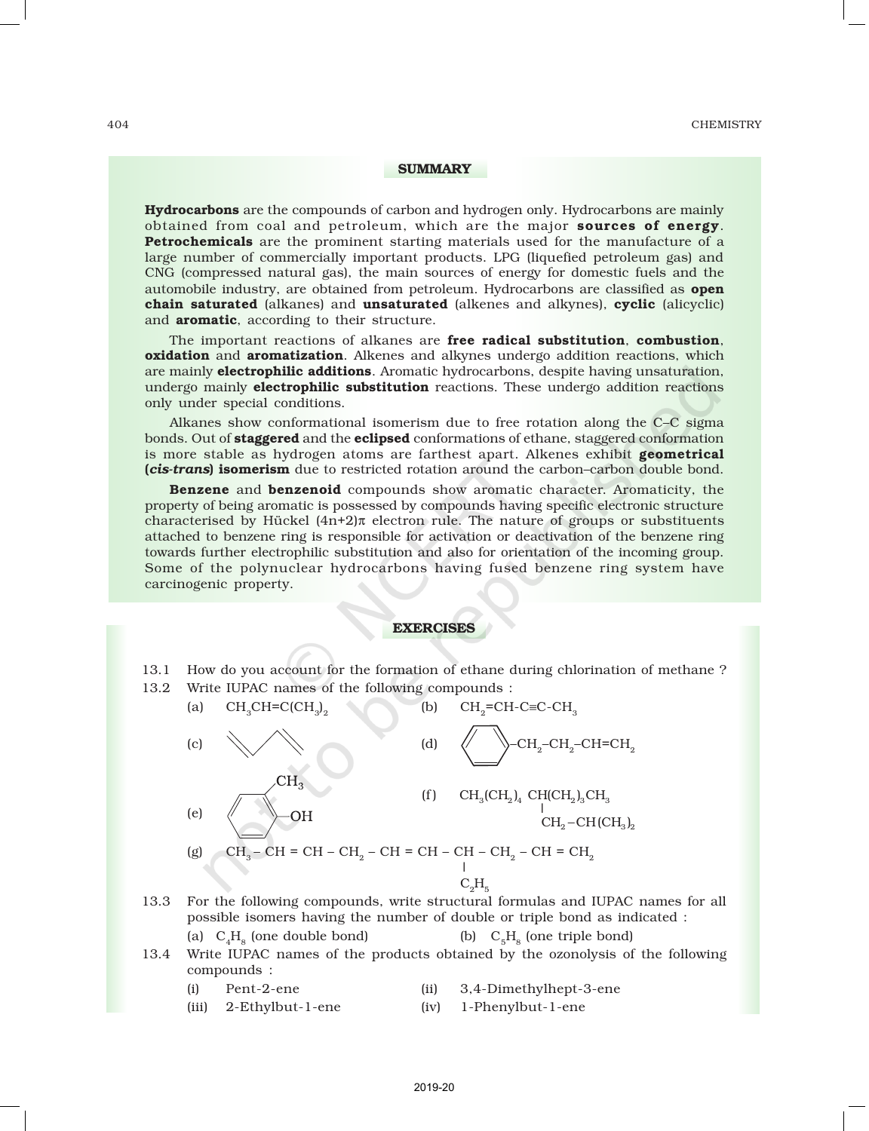## SUMMARY

**Hydrocarbons** are the compounds of carbon and hydrogen only. Hydrocarbons are mainly obtained from coal and petroleum, which are the major **sources of energy**. **Petrochemicals** are the prominent starting materials used for the manufacture of a large number of commercially important products. LPG (liquefied petroleum gas) and CNG (compressed natural gas), the main sources of energy for domestic fuels and the automobile industry, are obtained from petroleum. Hydrocarbons are classified as **open** chain saturated (alkanes) and unsaturated (alkenes and alkynes), cyclic (alicyclic) and **aromatic**, according to their structure.

The important reactions of alkanes are free radical substitution, combustion, oxidation and aromatization. Alkenes and alkynes undergo addition reactions, which are mainly **electrophilic additions**. Aromatic hydrocarbons, despite having unsaturation, undergo mainly **electrophilic substitution** reactions. These undergo addition reactions only under special conditions.

Alkanes show conformational isomerism due to free rotation along the C–C sigma bonds. Out of staggered and the eclipsed conformations of ethane, staggered conformation is more stable as hydrogen atoms are farthest apart. Alkenes exhibit geometrical (*cis-trans*) isomerism due to restricted rotation around the carbon–carbon double bond.

Benzene and benzenoid compounds show aromatic character. Aromaticity, the property of being aromatic is possessed by compounds having specific electronic structure characterised by Hückel  $(4n+2)\pi$  electron rule. The nature of groups or substituents attached to benzene ring is responsible for activation or deactivation of the benzene ring towards further electrophilic substitution and also for orientation of the incoming group. Some of the polynuclear hydrocarbons having fused benzene ring system have carcinogenic property.

## EXERCISES

13.1 How do you account for the formation of ethane during chlorination of methane ? 13.2 Write IUPAC names of the following compounds :

| (a) | $CH3CH=C(CH3)2$                                                                           | (b) | $CH2=CH-C\equiv C-CH3$                                                                                                   |
|-----|-------------------------------------------------------------------------------------------|-----|--------------------------------------------------------------------------------------------------------------------------|
| (c) |                                                                                           | (d) | $\leftarrow$ CH <sub>2</sub> -CH <sub>2</sub> -CH=CH <sub>2</sub>                                                        |
| (e) | $H_{3}$<br>ΟH                                                                             | (f) | $CH_3CH_2$ ) <sub>4</sub> CH(CH <sub>2</sub> ) <sub>3</sub> CH <sub>3</sub><br>$CH_2$ -CH(CH <sub>3</sub> ) <sub>2</sub> |
| (g) | $CH3$ – CH = CH – CH <sub>2</sub> – CH = CH – CH – CH <sub>2</sub> – CH = CH <sub>2</sub> |     |                                                                                                                          |
|     |                                                                                           |     | $C_2H_5$                                                                                                                 |
|     |                                                                                           |     |                                                                                                                          |

13.3 For the following compounds, write structural formulas and IUPAC names for all possible isomers having the number of double or triple bond as indicated :

(a)  $C_A H_s$  (one double bond) (b)  $C_R H_s$  (one triple bond)

13.4 Write IUPAC names of the products obtained by the ozonolysis of the following compounds :

(i) Pent-2-ene (ii) 3,4-Dimethylhept-3-ene

- 
- (iii) 2-Ethylbut-1-ene (iv) 1-Phenylbut-1-ene